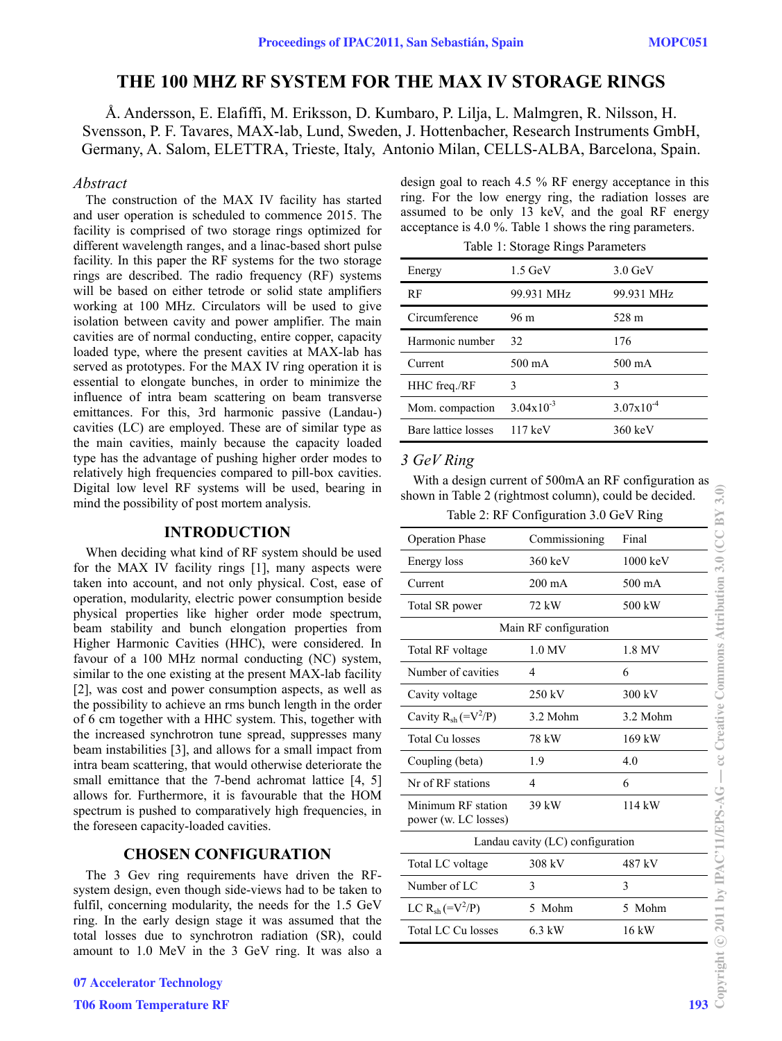# **THE 100 MHZ RF SYSTEM FOR THE MAX IV STORAGE RINGS**

Å. Andersson, E. Elafiffi, M. Eriksson, D. Kumbaro, P. Lilja, L. Malmgren, R. Nilsson, H. Svensson, P. F. Tavares, MAX-lab, Lund, Sweden, J. Hottenbacher, Research Instruments GmbH, Germany, A. Salom, ELETTRA, Trieste, Italy, Antonio Milan, CELLS-ALBA, Barcelona, Spain.

#### *Abstract*

The construction of the MAX IV facility has started and user operation is scheduled to commence 2015. The facility is comprised of two storage rings optimized for different wavelength ranges, and a linac-based short pulse facility. In this paper the RF systems for the two storage rings are described. The radio frequency (RF) systems will be based on either tetrode or solid state amplifiers working at 100 MHz. Circulators will be used to give isolation between cavity and power amplifier. The main cavities are of normal conducting, entire copper, capacity loaded type, where the present cavities at MAX-lab has served as prototypes. For the MAX IV ring operation it is essential to elongate bunches, in order to minimize the influence of intra beam scattering on beam transverse emittances. For this, 3rd harmonic passive (Landau-) cavities (LC) are employed. These are of similar type as the main cavities, mainly because the capacity loaded type has the advantage of pushing higher order modes to relatively high frequencies compared to pill-box cavities. Digital low level RF systems will be used, bearing in mind the possibility of post mortem analysis.

#### **INTRODUCTION**

## **CHOSEN CONFIGURATION**

| design goal to reach $4.5\%$ RF energy acceptance in this |
|-----------------------------------------------------------|
| ring. For the low energy ring, the radiation losses are   |
| assumed to be only 13 keV, and the goal RF energy         |
| acceptance is 4.0 %. Table 1 shows the ring parameters.   |

|  |  |  | Table 1: Storage Rings Parameters |
|--|--|--|-----------------------------------|
|--|--|--|-----------------------------------|

| Energy              | $1.5 \text{ GeV}$     | $3.0 \text{ GeV}$ |
|---------------------|-----------------------|-------------------|
| RF                  | 99.931 MHz            | 99.931 MHz        |
| Circumference       | 96 m                  | 528 m             |
| Harmonic number     | 32                    | 176               |
| Current             | 500 mA                | 500 mA            |
| HHC freq./RF        | 3                     | 3                 |
| Mom. compaction     | $3.04 \times 10^{-3}$ | $3.07x10^{-4}$    |
| Bare lattice losses | $117 \text{ keV}$     | $360 \text{ keV}$ |

## *3 GeV Ring*

| relatively high hequencies compared to phi-box cavities.<br>Digital low level RF systems will be used, bearing in<br>mind the possibility of post mortem analysis.     | With a design current of 500mA an RF configuration as<br>shown in Table 2 (rightmost column), could be decided. | Table 2: RF Configuration 3.0 GeV Ring |          | ന്<br>BY |  |
|------------------------------------------------------------------------------------------------------------------------------------------------------------------------|-----------------------------------------------------------------------------------------------------------------|----------------------------------------|----------|----------|--|
| <b>INTRODUCTION</b>                                                                                                                                                    | <b>Operation Phase</b>                                                                                          | Commissioning                          | Final    |          |  |
| When deciding what kind of RF system should be used<br>for the MAX IV facility rings [1], many aspects were                                                            | Energy loss                                                                                                     | 360 keV                                | 1000 keV |          |  |
| taken into account, and not only physical. Cost, ease of                                                                                                               | Current                                                                                                         | $200 \text{ mA}$                       | 500 mA   |          |  |
| operation, modularity, electric power consumption beside<br>physical properties like higher order mode spectrum,                                                       | Total SR power                                                                                                  | 72 kW                                  | 500 kW   |          |  |
| beam stability and bunch elongation properties from                                                                                                                    | Main RF configuration                                                                                           |                                        |          |          |  |
| Higher Harmonic Cavities (HHC), were considered. In<br>favour of a 100 MHz normal conducting (NC) system,                                                              | Total RF voltage                                                                                                | 1.0 MV                                 | 1.8 MV   |          |  |
| similar to the one existing at the present MAX-lab facility                                                                                                            | Number of cavities                                                                                              | 4                                      | 6        |          |  |
| [2], was cost and power consumption aspects, as well as                                                                                                                | Cavity voltage                                                                                                  | 250 kV                                 | 300 kV   |          |  |
| the possibility to achieve an rms bunch length in the order<br>of 6 cm together with a HHC system. This, together with                                                 | Cavity $R_{sh} (=V^2/P)$                                                                                        | 3.2 Mohm                               | 3.2 Mohm |          |  |
| the increased synchrotron tune spread, suppresses many                                                                                                                 | <b>Total Cu losses</b>                                                                                          | 78 kW                                  | 169 kW   |          |  |
| beam instabilities [3], and allows for a small impact from<br>intra beam scattering, that would otherwise deteriorate the                                              | Coupling (beta)                                                                                                 | 1.9                                    | 4.0      |          |  |
| small emittance that the 7-bend achromat lattice [4, 5]                                                                                                                | Nr of RF stations                                                                                               | $\overline{4}$                         | 6        |          |  |
| allows for. Furthermore, it is favourable that the HOM<br>spectrum is pushed to comparatively high frequencies, in<br>the foreseen capacity-loaded cavities.           | Minimum RF station<br>power (w. LC losses)                                                                      | 39 kW                                  | 114 kW   |          |  |
|                                                                                                                                                                        | Landau cavity (LC) configuration                                                                                |                                        |          |          |  |
| <b>CHOSEN CONFIGURATION</b>                                                                                                                                            | Total LC voltage                                                                                                | 308 kV                                 | 487 kV   |          |  |
| The 3 Gev ring requirements have driven the RF-<br>system design, even though side-views had to be taken to                                                            | Number of LC                                                                                                    | 3                                      | 3        |          |  |
| fulfil, concerning modularity, the needs for the 1.5 GeV                                                                                                               | LC $R_{sh} (=V^2/P)$                                                                                            | 5 Mohm                                 | 5 Mohm   |          |  |
| ring. In the early design stage it was assumed that the<br>total losses due to synchrotron radiation (SR), could<br>amount to 1.0 MeV in the 3 GeV ring. It was also a | <b>Total LC Cu losses</b>                                                                                       | 6.3 kW                                 | 16 kW    |          |  |
| <b>07 Accelerator Technology</b>                                                                                                                                       |                                                                                                                 |                                        |          |          |  |
| <b>T06 Room Temperature RF</b>                                                                                                                                         |                                                                                                                 |                                        |          | 193      |  |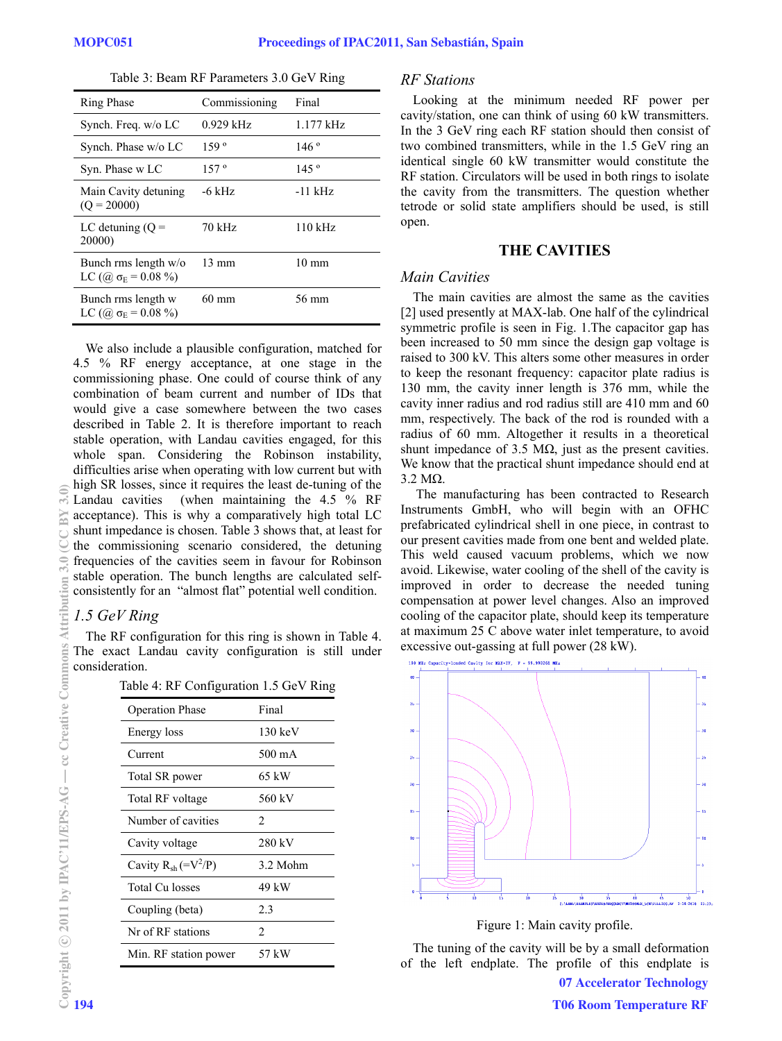|  |  |  |  | Table 3: Beam RF Parameters 3.0 GeV Ring |  |  |  |
|--|--|--|--|------------------------------------------|--|--|--|
|--|--|--|--|------------------------------------------|--|--|--|

| <b>Ring Phase</b>                                        | Commissioning   | Final           |
|----------------------------------------------------------|-----------------|-----------------|
| Synch. Freq. w/o LC                                      | $0.929$ kHz     | 1.177 kHz       |
| Synch. Phase w/o LC                                      | 159°            | 146°            |
| Syn. Phase w LC                                          | 157°            | 145°            |
| Main Cavity detuning<br>$(O = 20000)$                    | -6 kHz          | -11 kHz         |
| LC detuning $(Q =$<br>20000)                             | 70 kHz          | $110$ kHz       |
| Bunch rms length $w/o$<br>LC $(Q_0 \sigma_E = 0.08 \%)$  | $13 \text{ mm}$ | $10 \text{ mm}$ |
| Bunch rms length w<br>LC ( $\omega \sigma_E = 0.08 \%$ ) | 60 mm           | 56 mm           |

We also include a plausible configuration, matched for 4.5 % RF energy acceptance, at one stage in the commissioning phase. One could of course think of any combination of beam current and number of IDs that would give a case somewhere between the two cases described in Table 2. It is therefore important to reach stable operation, with Landau cavities engaged, for this whole span. Considering the Robinson instability, difficulties arise when operating with low current but with high SR losses, since it requires the least de-tuning of the Landau cavities (when maintaining the  $4.5\degree\%$  RF acceptance). This is why a comparatively high total LC shunt impedance is chosen. Table 3 shows that, at least for the commissioning scenario considered, the detuning frequencies of the cavities seem in favour for Robinson stable operation. The bunch lengths are calculated selfconsistently for an "almost flat" potential well condition.

## *1.5 GeV Ring*

The RF configuration for this ring is shown in Table 4. The exact Landau cavity configuration is still under consideration.

Table 4: RF Configuration 1.5 GeV Ring

| <b>Operation Phase</b>   | Final                         |
|--------------------------|-------------------------------|
| Energy loss              | $130 \text{ keV}$             |
| Current                  | 500 mA                        |
| Total SR power           | 65 kW                         |
| Total RF voltage         | 560 kV                        |
| Number of cavities       | $\mathfrak{D}$                |
| Cavity voltage           | 280 kV                        |
| Cavity $R_{sh} (=V^2/P)$ | 3.2 Mohm                      |
| <b>Total Cu losses</b>   | 49 kW                         |
| Coupling (beta)          | 2.3                           |
| Nr of RF stations        | $\mathfrak{D}_{\mathfrak{p}}$ |
| Min. RF station power    | 57 kW                         |

## *RF Stations*

Looking at the minimum needed RF power per cavity/station, one can think of using 60 kW transmitters. In the 3 GeV ring each RF station should then consist of two combined transmitters, while in the 1.5 GeV ring an identical single 60 kW transmitter would constitute the RF station. Circulators will be used in both rings to isolate the cavity from the transmitters. The question whether tetrode or solid state amplifiers should be used, is still open.

## **THE CAVITIES**

## *Main Cavities*

The main cavities are almost the same as the cavities [2] used presently at MAX-lab. One half of the cylindrical symmetric profile is seen in Fig. 1.The capacitor gap has been increased to 50 mm since the design gap voltage is raised to 300 kV. This alters some other measures in order to keep the resonant frequency: capacitor plate radius is 130 mm, the cavity inner length is 376 mm, while the cavity inner radius and rod radius still are 410 mm and 60 mm, respectively. The back of the rod is rounded with a radius of 60 mm. Altogether it results in a theoretical shunt impedance of 3.5  $\text{M}\Omega$ , just as the present cavities. We know that the practical shunt impedance should end at 3.2 MΩ.

 The manufacturing has been contracted to Research Instruments GmbH, who will begin with an OFHC prefabricated cylindrical shell in one piece, in contrast to our present cavities made from one bent and welded plate. This weld caused vacuum problems, which we now avoid. Likewise, water cooling of the shell of the cavity is improved in order to decrease the needed tuning compensation at power level changes. Also an improved cooling of the capacitor plate, should keep its temperature at maximum 25 C above water inlet temperature, to avoid excessive out-gassing at full power (28 kW).



Figure 1: Main cavity profile.

The tuning of the cavity will be by a small deformation of the left endplate. The profile of this endplate is

 $\widetilde{\mathcal{L}}$